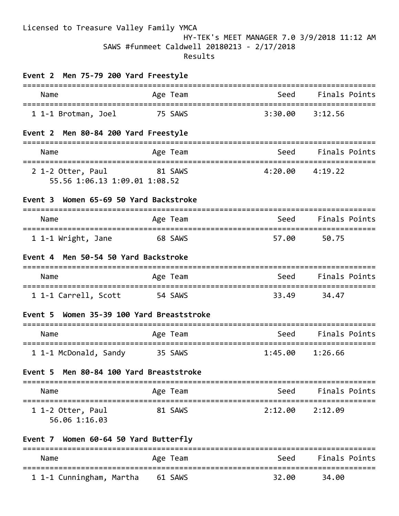## Licensed to Treasure Valley Family YMCA HY-TEK's MEET MANAGER 7.0 3/9/2018 11:12 AM SAWS #funmeet Caldwell 20180213 - 2/17/2018 Results

| Event 2 Men 75-79 200 Yard Freestyle                                                            |                                |                                     |                      |
|-------------------------------------------------------------------------------------------------|--------------------------------|-------------------------------------|----------------------|
| Name                                                                                            | Age Team                       | Seed                                | Finals Points        |
| 1 1-1 Brotman, Joel                                                                             | 75 SAWS                        | 3:30.00                             | 3:12.56              |
| Event 2 Men 80-84 200 Yard Freestyle                                                            |                                |                                     |                      |
| Name                                                                                            | Age Team                       | <u>Seed</u>                         | Finals Points        |
| =================================<br>2 1-2 Otter, Paul 81 SAWS<br>55.56 1:06.13 1:09.01 1:08.52 |                                | ----------------------------------- | $4:20.00$ $4:19.22$  |
| Women 65-69 50 Yard Backstroke<br>Event 3                                                       |                                |                                     |                      |
| ===========================<br>Name                                                             | Age Team                       | Seed                                | Finals Points        |
| 1 1-1 Wright, Jane                                                                              | 68 SAWS                        | 57.00                               | 50.75                |
| Event 4 Men 50-54 50 Yard Backstroke                                                            |                                |                                     |                      |
| Name                                                                                            | Age Team                       | Seed                                | Finals Points        |
| 1 1-1 Carrell, Scott                                                                            | 54 SAWS                        | 33.49                               | 34.47                |
| Women 35-39 100 Yard Breaststroke<br>Event 5                                                    |                                |                                     |                      |
| Name                                                                                            | Age Team                       | Seed                                | <b>Finals Points</b> |
| 1 1-1 McDonald, Sandy                                                                           | ===================<br>35 SAWS | 1:45.00                             | 1:26.66              |
| Men 80-84 100 Yard Breaststroke<br>Event 5                                                      |                                |                                     |                      |
| Name                                                                                            | Age Team                       | Seed                                | Finals Points        |
| =====================<br>1 1-2 Otter, Paul<br>56.06 1:16.03                                     | 81 SAWS                        | 2:12.00                             | 2:12.09              |
| Event 7 Women 60-64 50 Yard Butterfly                                                           |                                |                                     |                      |
| Name                                                                                            | Age Team                       | Seed                                | <b>Finals Points</b> |
| 1 1-1 Cunningham, Martha                                                                        | 61 SAWS                        | 32.00                               | 34.00                |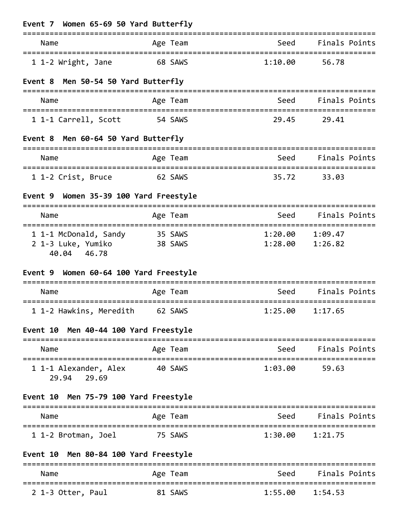| Event 7 Women 65-69 50 Yard Butterfly                               |                        |                                                                                                                                                                                                                                      |                                        |
|---------------------------------------------------------------------|------------------------|--------------------------------------------------------------------------------------------------------------------------------------------------------------------------------------------------------------------------------------|----------------------------------------|
| Name                                                                | Age Team               | Seed                                                                                                                                                                                                                                 | Finals Points                          |
| 1 1-2 Wright, Jane                                                  | 68 SAWS                | 1:10.00                                                                                                                                                                                                                              | 56.78                                  |
| Event 8 Men 50-54 50 Yard Butterfly                                 |                        |                                                                                                                                                                                                                                      |                                        |
| Name                                                                | Age Team               | seed Seed Seed Seed Seed Seed Seed Sections and Section of the Section of the Section Section 4                                                                                                                                      | Finals Points                          |
| 1 1-1 Carrell, Scott                                                | 54 SAWS                | 29.45                                                                                                                                                                                                                                | 29.41                                  |
| Event 8 Men 60-64 50 Yard Butterfly                                 |                        |                                                                                                                                                                                                                                      |                                        |
| Name                                                                | Age Team               | Seed                                                                                                                                                                                                                                 | Finals Points                          |
| 1 1-2 Crist, Bruce                                                  | 62 SAWS                | 35.72                                                                                                                                                                                                                                | 33.03                                  |
| Event 9 Women 35-39 100 Yard Freestyle                              |                        |                                                                                                                                                                                                                                      |                                        |
| Name                                                                | Age Team               | Seed                                                                                                                                                                                                                                 | Finals Points                          |
| 1 1-1 McDonald, Sandy<br>2 1-3 Luke, Yumiko<br>40.04 46.78          | 35 SAWS<br>38 SAWS     |                                                                                                                                                                                                                                      | $1:20.00$ $1:09.47$<br>1:28.00 1:26.82 |
| Event 9 Women 60-64 100 Yard Freestyle<br>------------------------- |                        |                                                                                                                                                                                                                                      |                                        |
| Name                                                                | Age Team<br>:========= | Seed                                                                                                                                                                                                                                 | Finals Points                          |
| 1 1-2 Hawkins, Meredith 62 SAWS                                     |                        |                                                                                                                                                                                                                                      | $1:25.00$ $1:17.65$                    |
| Event 10 Men 40-44 100 Yard Freestyle                               |                        |                                                                                                                                                                                                                                      |                                        |
| Name                                                                | Age Team               | ===============================                                                                                                                                                                                                      | Seed Finals Points                     |
| 1 1-1 Alexander, Alex 40 SAWS<br>29.94 29.69                        |                        |                                                                                                                                                                                                                                      | 1:03.00 59.63                          |
| Event 10 Men 75-79 100 Yard Freestyle                               |                        |                                                                                                                                                                                                                                      |                                        |
| Name                                                                | Age Team               | <u>seed and the Seed and Seed and Seed and Seed and Seed and Seed and Seed and Seed and Seed and Seed and Seed and Seed and Seed and Seed and Seed and Seed and Seed and Seed and Seed and Seed and Seed and Seed and Seed and S</u> | Finals Points                          |
| 1 1-2 Brotman, Joel                                                 | 75 SAWS                |                                                                                                                                                                                                                                      | $1:30.00$ $1:21.75$                    |
| Event 10 Men 80-84 100 Yard Freestyle                               |                        |                                                                                                                                                                                                                                      |                                        |
| Name                                                                | Age Team               |                                                                                                                                                                                                                                      | Seed Finals Points                     |
| 2 1-3 Otter, Paul                                                   | 81 SAWS                |                                                                                                                                                                                                                                      | $1:55.00$ $1:54.53$                    |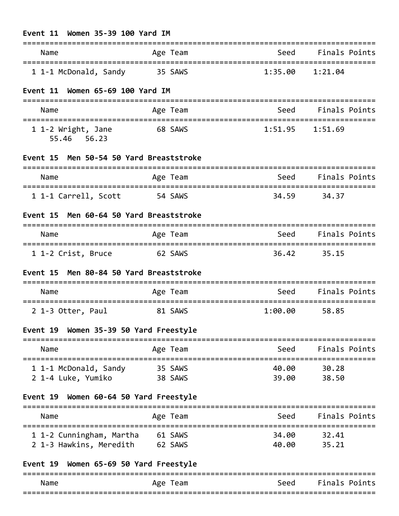| Women 35-39 100 Yard IM<br>Event 11<br>================= |                          |                                         |                             |
|----------------------------------------------------------|--------------------------|-----------------------------------------|-----------------------------|
| Name                                                     | Age Team                 | Seed                                    | Finals Points               |
| 1 1-1 McDonald, Sandy                                    | 35 SAWS                  | 1:35.00                                 | ===============<br>1:21.04  |
| Women 65-69 100 Yard IM<br>Event 11                      |                          | -----------------------------------     |                             |
| Name                                                     | Age Team                 | Seed                                    | Finals Points               |
| 1 1-2 Wright, Jane<br>55.46 56.23                        | 68 SAWS                  |                                         | $1:51.95$ $1:51.69$         |
| Event 15 Men 50-54 50 Yard Breaststroke                  |                          |                                         |                             |
| Name                                                     | Age Team                 | Seed                                    | Finals Points               |
| 1 1-1 Carrell, Scott                                     | =============<br>54 SAWS | 34.59                                   | 34.37                       |
| Men 60-64 50 Yard Breaststroke<br>Event 15               |                          |                                         |                             |
| Name                                                     | Age Team                 | <b>Seed</b>                             | Finals Points               |
| 1 1-2 Crist, Bruce                                       | 62 SAWS                  | 36.42                                   | - 35.15                     |
| Event 15 Men 80-84 50 Yard Breaststroke                  |                          |                                         |                             |
| Name                                                     | Age Team                 | Seed                                    | <b>Finals Points</b>        |
| 2 1-3 Otter, Paul                                        | 81 SAWS                  | 1:00.00                                 | 58.85                       |
| Event 19 Women 35-39 50 Yard Freestyle                   |                          |                                         |                             |
| =============<br>Name                                    | Age Team                 | ===============================<br>Seed | <b>Finals Points</b>        |
| 1 1-1 McDonald, Sandy 35 SAWS                            |                          |                                         | 40.00 30.28                 |
| 2 1-4 Luke, Yumiko                                       | 38 SAWS                  | 39.00                                   | 38.50                       |
| Event 19 Women 60-64 50 Yard Freestyle                   |                          |                                         |                             |
| Name                                                     | Age Team                 | Seed<br>-----------------------         | Finals Points               |
| 1 1-2 Cunningham, Martha                                 | 61 SAWS                  | 34.00                                   | ==================<br>32.41 |
| 2 1-3 Hawkins, Meredith 62 SAWS                          |                          | 40.00                                   | 35.21                       |
| Event 19 Women 65-69 50 Yard Freestyle                   |                          |                                         |                             |

| Name | leam<br>Age | Seed | Finals Points |
|------|-------------|------|---------------|
|      |             |      |               |